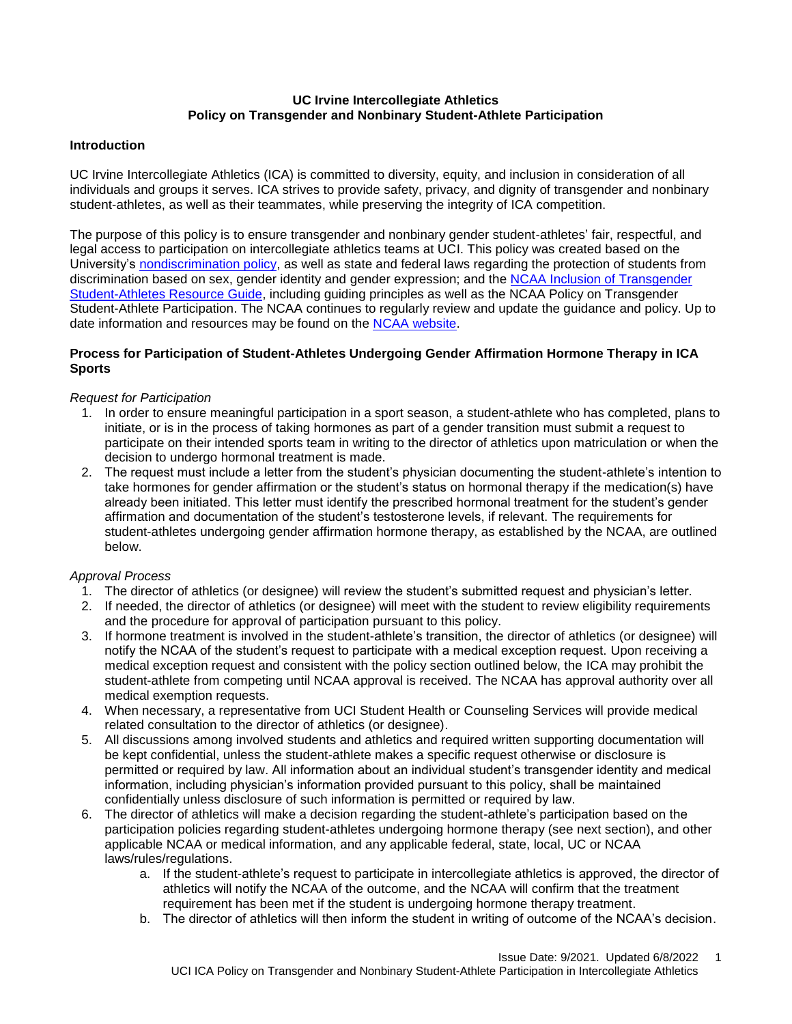## **UC Irvine Intercollegiate Athletics Policy on Transgender and Nonbinary Student-Athlete Participation**

## **Introduction**

UC Irvine Intercollegiate Athletics (ICA) is committed to diversity, equity, and inclusion in consideration of all individuals and groups it serves. ICA strives to provide safety, privacy, and dignity of transgender and nonbinary student-athletes, as well as their teammates, while preserving the integrity of ICA competition.

The purpose of this policy is to ensure transgender and nonbinary gender student-athletes' fair, respectful, and legal access to participation on intercollegiate athletics teams at UCI. This policy was created based on the University's [nondiscrimination policy,](https://aisc.uci.edu/policies/pacaos/appendix_c.php) as well as state and federal laws regarding the protection of students from discrimination based on sex, gender identity and gender expression; and the [NCAA Inclusion of Transgender](https://ncaaorg.s3.amazonaws.com/inclusion/lgbtq/INC_TransgenderHandbook.pdf)  [Student-Athletes Resource Guide,](https://ncaaorg.s3.amazonaws.com/inclusion/lgbtq/INC_TransgenderHandbook.pdf) including guiding principles as well as the NCAA Policy on Transgender Student-Athlete Participation. The NCAA continues to regularly review and update the guidance and policy. Up to date information and resources may be found on the [NCAA website.](https://www.ncaa.org/sports/2022/1/27/transgender-participation-policy.aspx)

### **Process for Participation of Student-Athletes Undergoing Gender Affirmation Hormone Therapy in ICA Sports**

### *Request for Participation*

- 1. In order to ensure meaningful participation in a sport season, a student-athlete who has completed, plans to initiate, or is in the process of taking hormones as part of a gender transition must submit a request to participate on their intended sports team in writing to the director of athletics upon matriculation or when the decision to undergo hormonal treatment is made.
- 2. The request must include a letter from the student's physician documenting the student-athlete's intention to take hormones for gender affirmation or the student's status on hormonal therapy if the medication(s) have already been initiated. This letter must identify the prescribed hormonal treatment for the student's gender affirmation and documentation of the student's testosterone levels, if relevant. The requirements for student-athletes undergoing gender affirmation hormone therapy, as established by the NCAA, are outlined below.

#### *Approval Process*

- 1. The director of athletics (or designee) will review the student's submitted request and physician's letter.
- 2. If needed, the director of athletics (or designee) will meet with the student to review eligibility requirements and the procedure for approval of participation pursuant to this policy.
- 3. If hormone treatment is involved in the student-athlete's transition, the director of athletics (or designee) will notify the NCAA of the student's request to participate with a medical exception request. Upon receiving a medical exception request and consistent with the policy section outlined below, the ICA may prohibit the student-athlete from competing until NCAA approval is received. The NCAA has approval authority over all medical exemption requests.
- 4. When necessary, a representative from UCI Student Health or Counseling Services will provide medical related consultation to the director of athletics (or designee).
- 5. All discussions among involved students and athletics and required written supporting documentation will be kept confidential, unless the student-athlete makes a specific request otherwise or disclosure is permitted or required by law. All information about an individual student's transgender identity and medical information, including physician's information provided pursuant to this policy, shall be maintained confidentially unless disclosure of such information is permitted or required by law.
- 6. The director of athletics will make a decision regarding the student-athlete's participation based on the participation policies regarding student-athletes undergoing hormone therapy (see next section), and other applicable NCAA or medical information, and any applicable federal, state, local, UC or NCAA laws/rules/regulations.
	- a. If the student-athlete's request to participate in intercollegiate athletics is approved, the director of athletics will notify the NCAA of the outcome, and the NCAA will confirm that the treatment requirement has been met if the student is undergoing hormone therapy treatment.
	- b. The director of athletics will then inform the student in writing of outcome of the NCAA's decision.